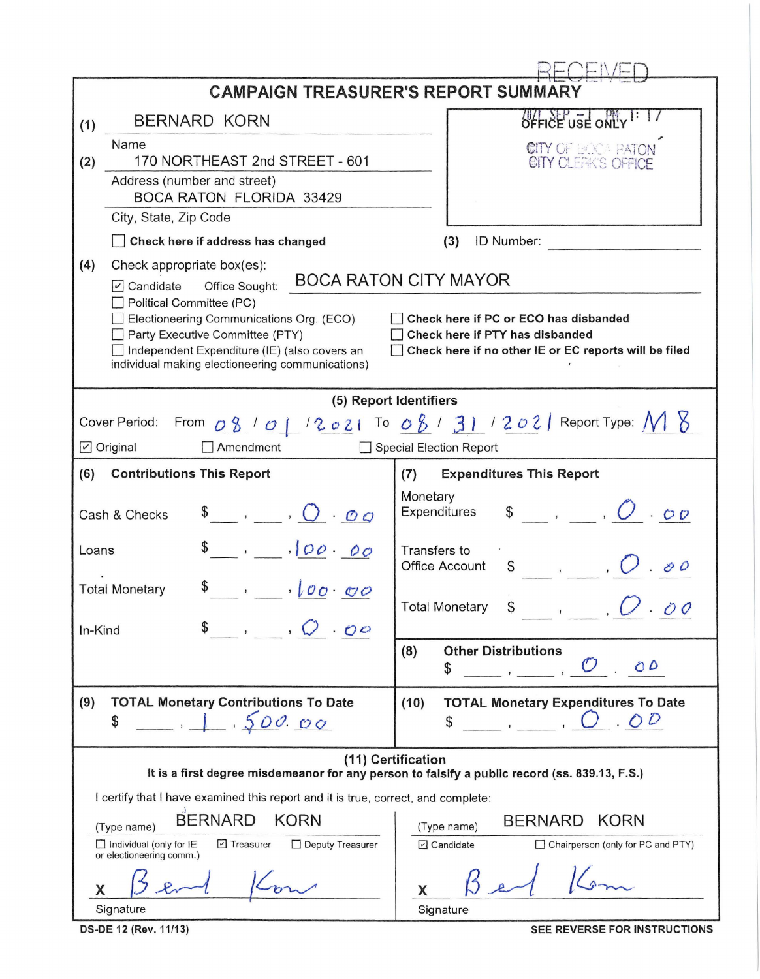| <b>CAMPAIGN TREASURER'S REPORT SUMMARY</b>                                                                                                                                                                                                                            |                                                                                                                                                                                                                                                                                          |                                                                                                                                                                   |  |  |  |  |  |  |
|-----------------------------------------------------------------------------------------------------------------------------------------------------------------------------------------------------------------------------------------------------------------------|------------------------------------------------------------------------------------------------------------------------------------------------------------------------------------------------------------------------------------------------------------------------------------------|-------------------------------------------------------------------------------------------------------------------------------------------------------------------|--|--|--|--|--|--|
| (1)                                                                                                                                                                                                                                                                   | <b>BERNARD KORN</b>                                                                                                                                                                                                                                                                      | OFFICE USE ONL                                                                                                                                                    |  |  |  |  |  |  |
| (2)                                                                                                                                                                                                                                                                   | Name<br>170 NORTHEAST 2nd STREET - 601                                                                                                                                                                                                                                                   | <b>CITY OF BOOK BATON</b><br>CITY CLEAK'S OFFICE                                                                                                                  |  |  |  |  |  |  |
|                                                                                                                                                                                                                                                                       | Address (number and street)<br><b>BOCA RATON FLORIDA 33429</b>                                                                                                                                                                                                                           |                                                                                                                                                                   |  |  |  |  |  |  |
|                                                                                                                                                                                                                                                                       | City, State, Zip Code                                                                                                                                                                                                                                                                    |                                                                                                                                                                   |  |  |  |  |  |  |
|                                                                                                                                                                                                                                                                       | Check here if address has changed                                                                                                                                                                                                                                                        | ID Number:<br>(3)                                                                                                                                                 |  |  |  |  |  |  |
| (4)                                                                                                                                                                                                                                                                   | Check appropriate box(es):<br>Office Sought:<br>$\triangledown$ Candidate<br>Political Committee (PC)<br>Electioneering Communications Org. (ECO)<br>Party Executive Committee (PTY)<br>Independent Expenditure (IE) (also covers an<br>individual making electioneering communications) | <b>BOCA RATON CITY MAYOR</b><br>Check here if PC or ECO has disbanded<br>Check here if PTY has disbanded<br>Check here if no other IE or EC reports will be filed |  |  |  |  |  |  |
| (5) Report Identifiers                                                                                                                                                                                                                                                |                                                                                                                                                                                                                                                                                          |                                                                                                                                                                   |  |  |  |  |  |  |
| From $\overline{OB}$ / $\overline{O}$   $/2$ $\overline{O}$ 2   To $\overline{OB}$ / $\overline{3}$   $/2$ $\overline{O}$ 2   Report Type: $\overline{M}$ $\overline{S}$<br>Cover Period:<br>$\triangleright$ Original<br>Amendment<br><b>Special Election Report</b> |                                                                                                                                                                                                                                                                                          |                                                                                                                                                                   |  |  |  |  |  |  |
| (6)                                                                                                                                                                                                                                                                   | <b>Contributions This Report</b>                                                                                                                                                                                                                                                         | <b>Expenditures This Report</b><br>(7)                                                                                                                            |  |  |  |  |  |  |
| $\begin{array}{ccccc}\n\bullet & , & \bullet & \bullet\n\end{array}$<br>Cash & Checks                                                                                                                                                                                 |                                                                                                                                                                                                                                                                                          | Monetary<br>$\mathsf{s}$ , $\mathsf{O}$ .00<br>Expenditures                                                                                                       |  |  |  |  |  |  |
| 100.00<br>Loans                                                                                                                                                                                                                                                       |                                                                                                                                                                                                                                                                                          | Transfers to<br><b>Office Account</b><br>$\overline{\phantom{a}}$<br>\$                                                                                           |  |  |  |  |  |  |
|                                                                                                                                                                                                                                                                       | 100000<br><b>Total Monetary</b>                                                                                                                                                                                                                                                          | <b>Total Monetary</b>                                                                                                                                             |  |  |  |  |  |  |
| In-Kind                                                                                                                                                                                                                                                               | $\overline{O}$ $\overline{O}$ $\overline{O}$                                                                                                                                                                                                                                             | <b>Other Distributions</b><br>(8)<br>O <sub>D</sub><br>\$                                                                                                         |  |  |  |  |  |  |
| (9)                                                                                                                                                                                                                                                                   | <b>TOTAL Monetary Contributions To Date</b><br>1.500.00<br>\$                                                                                                                                                                                                                            | <b>TOTAL Monetary Expenditures To Date</b><br>(10)<br>.00<br>\$<br>$\overline{\phantom{a}}$                                                                       |  |  |  |  |  |  |
| (11) Certification<br>It is a first degree misdemeanor for any person to falsify a public record (ss. 839.13, F.S.)<br>I certify that I have examined this report and it is true, correct, and complete:                                                              |                                                                                                                                                                                                                                                                                          |                                                                                                                                                                   |  |  |  |  |  |  |
|                                                                                                                                                                                                                                                                       | <b>BERNARD</b><br><b>KORN</b><br>(Type name)<br>$\Box$ Individual (only for IE<br>□ Treasurer<br>Deputy Treasurer<br>or electioneering comm.)                                                                                                                                            | <b>KORN</b><br><b>BERNARD</b><br>(Type name)<br>$\triangleright$ Candidate<br>Chairperson (only for PC and PTY)                                                   |  |  |  |  |  |  |
| X                                                                                                                                                                                                                                                                     | Signature                                                                                                                                                                                                                                                                                | X<br>Signature                                                                                                                                                    |  |  |  |  |  |  |

**DS-DE 12 (Rev. 11/13)** 

SEE REVERSE FOR INSTRUCTIONS